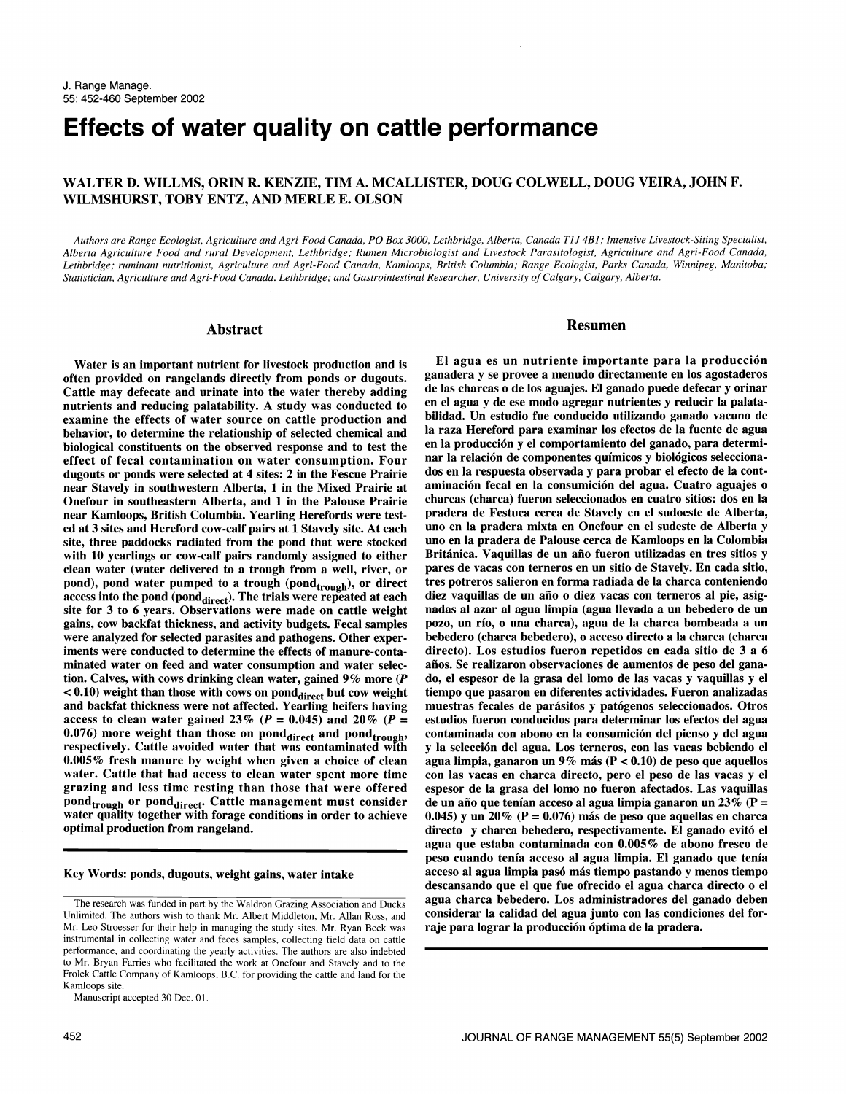# Effects of water quality on cattle performance

# WALTER D. WILLMS, ORIN R. KENZIE, TIM A. MCALLISTER, DOUG COLWELL, DOUG VEIRA, JOHN F. WILMSHURST, TOBY ENTZ, AND MERLE E. OLSON

Authors are Range Ecologist, Agriculture and Agri-Food Canada, PO Box 3000, Lethbridge, Alberta, Canada TJJ 4B1; Intensive Livestock-Siting Specialist, Alberta Agriculture Food and rural Development, Lethbridge; Rumen Microbiologist and Livestock Parasitologist, Agriculture and Agri-Food Canada, Lethbridge; ruminant nutritionist, Agriculture and Agri-Food Canada, Kamloops, British Columbia; Range Ecologist, Parks Canada, Winnipeg, Manitoba; Statistician, Agriculture and Agri-Food Canada. Lethbridge; and Gastrointestinal Researcher, University of Calgary, Calgary, Alberta.

#### Abstract

Water is an important nutrient for livestock production and is often provided on rangelands directly from ponds or dugouts. Cattle may defecate and urinate into the water thereby adding dellas charcas of the saguajes. El ganado puede defecar y orinar<br>nutrients and reducing palatability. A study was conducted to en el agua y de ese modo agregar nutrients and reducing palatability. A study was conducted to examine the effects of water source on cattle production and behavior, to determine the relationship of selected chemical and biological constituents on the observed response and to test the effect of fecal contamination on water consumption. Four dugouts or ponds were selected at 4 sites: 2 in the Fescue Prairie near Stavely in southwestern Alberta, 1 in the Mixed Prairie at Onefour in southeastern Alberta, and 1 in the Palouse Prairie near Kamloops, British Columbia. Yearling Herefords were tested at 3 sites and Hereford cow-calf pairs at 1 Stavely site. At each uno en la pradera mixta en Onefour en el sudeste de Alberta y<br>site, three paddocks radiated from the pond that were stocked uno en la pradera de Palouse site, three paddocks radiated from the pond that were stocked with 10 yearlings or cow-calf pairs randomly assigned to either clean water (water delivered to a trough from a well, river, or pond), pond water pumped to a trough (pond<sub>trough</sub>), or direct access into the pond (pond $_{\text{direct}}$ ). The trials were repeated at each site for 3 to 6 years. Observations were made on cattle weight nadas al azar al agua limpia (agua llevada a un bebedero de un gains, cow backfat thickness, and activity budgets. Fecal samples pozo, un río, o una charca), a were analyzed for selected parasites and pathogens. Other experiments were conducted to determine the effects of manure-contaminated water on feed and water consumption and water selection. Calves, with cows drinking clean water, gained 9% more (P  $< 0.10$ ) weight than those with cows on pond $_{\text{direct}}$  but cow weight and backfat thickness were not affected. Yearling heifers having access to clean water gained 23% ( $P = 0.045$ ) and 20% ( $P = 0.076$ ) more weight than those on pond<sub>direct</sub> and pond<sub>trough</sub>, respectively. Cattle avoided water that was contaminated with 0.005 % fresh manure by weight when given a choice of clean water. Cattle that had access to clean water spent more time con las vacas en charca directo, pero el peso de las vacas y el grazing and less time resting than those that were offered pond<sub>trough</sub> or pond<sub>direct</sub>. Cattle management must consider water quality together with forage conditions in order to achieve  $0.045$  y un  $20\%$  (P = 0.076) más de peso que aquellas en charca optimal production from rangeland.

Key Words: ponds, dugouts, weight gains, water intake

Manuscript accepted 30 Dec. 01.

#### Resumen

El agua es un nutriente importante para la produccion ganadera y se provee a menudo directamente en los agostaderos de las charcas o de los aguajes. El ganado puede defecar y orinar bilidad. Un estudio fue conducido utilizando ganado vacuno de la raza Hereford para examinar los efectos de la fuente de agua en la producción y el comportamiento del ganado, para determinar la relación de componentes químicos y biológicos seleccionados en la respuesta observada y para probar el efecto de la contaminación fecal en la consumición del agua. Cuatro aguajes o charcas (charca) fueron seleccionados en cuatro sitios: dos en la pradera de Festuca cerca de Stavely en el sudoeste de Alberta, Británica. Vaquillas de un año fueron utilizadas en tres sitios y pares de vacas con terneros en un sitio de Stavely. En cada sitio, tres potreros salieron en forma radiada de la charca conteniendo diez vaquillas de un año o diez vacas con terneros al pie, asignadas al azar al agua limpia (agua llevada a un bebedero de un bebedero (charca bebedero), o acceso directo a la charca (charca directo). Los estudios fueron repetidos en cada sitio de 3 a 6 años. Se realizaron observaciones de aumentos de peso del ganado, el espesor de la grasa del lomo de las vacas y vaquillas y el tiempo que pasaron en diferentes actividades. Fueron analizadas muestras fecales de parasitos y patogenos seleccionados. Otros estudios fueron conducidos para determinar los efectos del agua contaminada con abono en la consumicion del pienso y del agua y la seleccion del agua. Los terneros, con las vacas bebiendo el agua limpia, ganaron un 9% más ( $P < 0.10$ ) de peso que aquellos espesor de la grasa del lomo no fueron afectados. Las vaquillas de un año que tenían acceso al agua limpia ganaron un 23% (P = directo y charca bebedero, respectivamente. El ganado evito el agua que estaba contaminada con 0.005% de abono fresco de peso cuando tenia acceso al agua limpia. El ganado que tenia acceso al agua limpia pasó más tiempo pastando y menos tiempo descansando que el que fue ofrecido el agua charca directo o el agua charca bebedero. Los administradores del ganado deben considerar la calidad del agua junto con las condiciones del forraje para lograr la producción óptima de la pradera.

The research was funded in part by the Waldron Grazing Association and Ducks Unlimited. The authors wish to thank Mr. Albert Middleton, Mr. Allan Ross, and Mr. Leo Stroesser for their help in managing the study sites. Mr. Ryan Beck was instrumental in collecting water and feces samples, collecting field data on cattle performance, and coordinating the yearly activities. The authors are also indebted to Mr. Bryan Farries who facilitated the work at Onefour and Stavely and to the Frolek Cattle Company of Kamloops, B.C. for providing the cattle and land for the Kamloops site.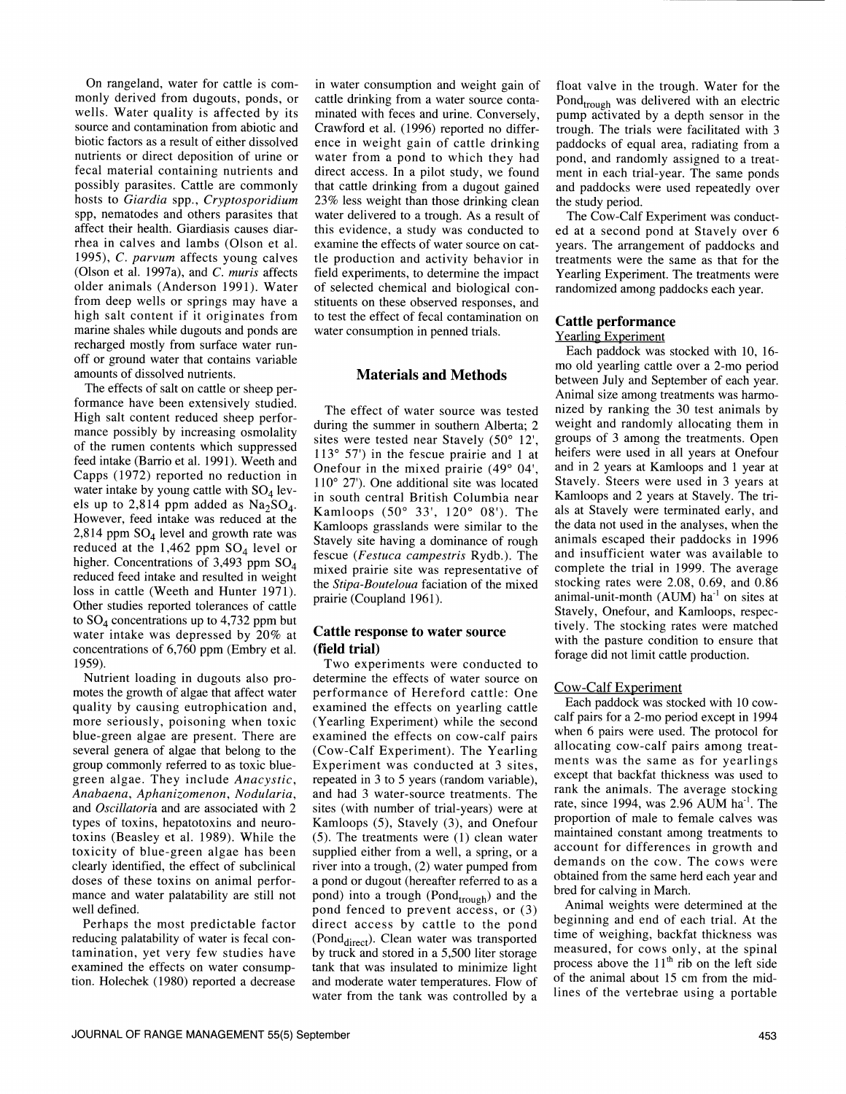On rangeland, water for cattle is com monly derived from dugouts, ponds, or wells. Water quality is affected by its source and contamination from abiotic and biotic factors as a result of either dissolved nutrients or direct deposition of urine or fecal material containing nutrients and possibly parasites. Cattle are commonly hosts to Giardia spp., Cryptosporidium spp, nematodes and others parasites that affect their health. Giardiasis causes diarrhea in calves and lambs (Olson et al. 1995), C. parvum affects young calves (Olson et al. 1997a), and C. muris affects older animals (Anderson 1991). Water from deep wells or springs may have a high salt content if it originates from marine shales while dugouts and ponds are recharged mostly from surface water run off or ground water that contains variable amounts of dissolved nutrients.

The effects of salt on cattle or sheep performance have been extensively studied. High salt content reduced sheep perfor mance possibly by increasing osmolality of the rumen contents which suppressed feed intake (Barrio et al. 1991). Weeth and Capps (1972) reported no reduction in water intake by young cattle with  $SO_4$  levels up to 2,814 ppm added as  $Na<sub>2</sub>SO<sub>4</sub>$ . However, feed intake was reduced at the 2,814 ppm  $SO_4$  level and growth rate was reduced at the 1,462 ppm  $SO_4$  level or higher. Concentrations of 3,493 ppm  $SO_4$ reduced feed intake and resulted in weight loss in cattle (Weeth and Hunter 1971). Other studies reported tolerances of cattle to  $SO_4$  concentrations up to 4,732 ppm but water intake was depressed by 20% at concentrations of 6,760 ppm (Embry et al. 1959).

Nutrient loading in dugouts also promotes the growth of algae that affect water quality by causing eutrophication and, more seriously, poisoning when toxic blue-green algae are present. There are several genera of algae that belong to the group commonly referred to as toxic bluegreen algae. They include Anacystic, Anabaena, Aphanizomenon, Nodularia, and Oscillatoria and are associated with 2 types of toxins, hepatotoxins and neuro toxins (Beasley et al. 1989). While the toxicity of blue-green algae has been clearly identified, the effect of subclinical doses of these toxins on animal perfor mance and water palatability are still not well defined.

Perhaps the most predictable factor<br>reducing palatability of water is fecal contamination, yet very few studies have examined the effects on water consumption. Holechek (1980) reported a decrease

in water consumption and weight gain of cattle drinking from a water source contaminated with feces and urine. Conversely, Crawford et al. (1996) reported no difference in weight gain of cattle drinking water from a pond to which they had direct access. In a pilot study, we found that cattle drinking from a dugout gained 23% less weight than those drinking clean water delivered to a trough. As a result of this evidence, a study was conducted to examine the effects of water source on cattle production and activity behavior in field experiments, to determine the impact of selected chemical and biological con stituents on these observed responses, and to test the effect of fecal contamination on water consumption in penned trials.

# Materials and Methods

The effect of water source was tested during the summer in southern Alberta; 2 sites were tested near Stavely (50° 12', 113° 57') in the fescue prairie and 1 at Onefour in the mixed prairie (49° 04', 110° 27'). One additional site was located in south central British Columbia near Kamloops (50° 33', 120° 08'). The Kamloops grasslands were similar to the Stavely site having a dominance of rough fescue (Festuca campestris Rydb.). The mixed prairie site was representative of the Stipa-Bouteloua faciation of the mixed prairie (Coupland 1961).

# Cattle response to water source (field trial)

Two experiments were conducted to<br>determine the effects of water source on performance of Hereford cattle: One examined the effects on yearling cattle (Yearling Experiment) while the second examined the effects on cow-calf pairs (Cow-Calf Experiment). The Yearling Experiment was conducted at 3 sites, repeated in 3 to 5 years (random variable), and had 3 water-source treatments. The sites (with number of trial-years) were at Kamloops (5), Stavely (3), and Onefour (5). The treatments were (1) clean water supplied either from a well, a spring, or a river into a trough, (2) water pumped from a pond or dugout (hereafter referred to as a pond) into a trough (Pond $_{\text{trough}}$ ) and the pond fenced to prevent access, or (3) direct access by cattle to the pond (Pond<sub>direct</sub>). Clean water was transported by truck and stored in a 5,500 liter storage tank that was insulated to minimize light and moderate water temperatures. Flow of water from the tank was controlled by a

float valve in the trough. Water for the Pond<sub>trough</sub> was delivered with an electric pump activated by a depth sensor in the trough. The trials were facilitated with 3 paddocks of equal area, radiating from a pond, and randomly assigned to a treatment in each trial-year. The same ponds and paddocks were used repeatedly over the study period.

The Cow-Calf Experiment was conducted at a second pond at Stavely over 6 years. The arrangement of paddocks and treatments were the same as that for the Yearling Experiment. The treatments were randomized among paddocks each year.

#### Cattle performance

# Yearling Experiment

Each paddock was stocked with 10, 16 mo old yearling cattle over a 2-mo period between July and September of each year. Animal size among treatments was harmonized by ranking the 30 test animals by weight and randomly allocating them in groups of 3 among the treatments. Open heifers were used in all years at Onefour and in 2 years at Kamloops and 1 year at Stavely. Steers were used in 3 years at Kamloops and 2 years at Stavely. The trials at Stavely were terminated early, and the data not used in the analyses, when the animals escaped their paddocks in 1996 and insufficient water was available to complete the trial in 1999. The average stocking rates were 2.08, 0.69, and 0.86 animal-unit-month (AUM)  $ha^{-1}$  on sites at Stavely, Onefour, and Kamloops, respectively. The stocking rates were matched with the pasture condition to ensure that forage did not limit cattle production.

#### Cow-Calf Experiment

Each paddock was stocked with 10 cow calf pairs for a 2-mo period except in 1994 when 6 pairs were used. The protocol for allocating cow-calf pairs among treatments was the same as for yearlings except that backfat thickness was used to rank the animals. The average stocking rate, since 1994, was 2.96 AUM ha<sup>-1</sup>. The proportion of male to female calves was maintained constant among treatments to account for differences in growth and demands on the cow. The cows were obtained from the same herd each year and bred for calving in March.

Animal weights were determined at the beginning and end of each trial. At the time of weighing, backfat thickness was measured, for cows only, at the spinal process above the  $11<sup>th</sup>$  rib on the left side of the animal about 15 cm from the midlines of the vertebrae using a portable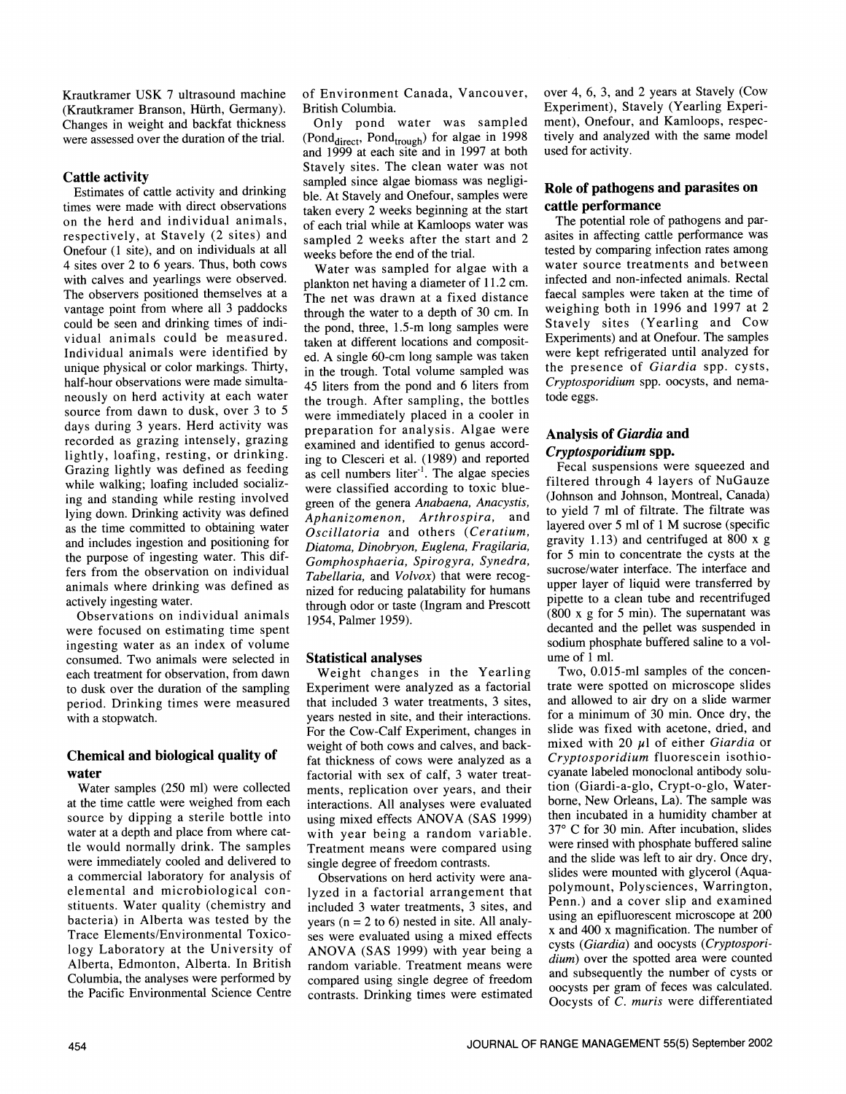Krautkramer USK 7 ultrasound machine (Krautkramer Branson, Hürth, Germany). Changes in weight and backfat thickness were assessed over the duration of the trial.

# Cattle activity

times were made with direct observations on the herd and individual animals, respectively, at Stavely (2 sites) and Onefour (1 site), and on individuals at all 4 sites over 2 to 6 years. Thus, both cows with calves and yearlings were observed.<br>The observers positioned themselves at a vantage point from where all 3 paddocks could be seen and drinking times of individual animals could be measured. Individual animals were identified by unique physical or color markings. Thirty, half-hour observations were made simultaneously on herd activity at each water source from dawn to dusk, over 3 to 5 days during 3 years. Herd activity was recorded as grazing intensely, grazing lightly, loafing, resting, or drinking. Grazing lightly was defined as feeding while walking; loafing included socializwhile walking; loating included socially-<br>ing and standing while resting involved<br>organ of the general Anglogen Anglogens lying down. Drinking activity was defined as the time committed to obtaining water and includes ingestion and positioning for the purpose of ingesting water. This differs from the observation on individual animals where drinking was defined as actively ingesting water.

Observations on individual animals were focused on estimating time spent ingesting water as an index of volume consumed. Two animals were selected in each treatment for observation, from dawn to dusk over the duration of the sampling period. Drinking times were measured with a stopwatch.

# Chemical and biological quality of water

Water samples (250 ml) were collected at the time cattle were weighed from each source by dipping a sterile bottle into water at a depth and place from where cattle would normally drink. The samples were immediately cooled and delivered to a commercial laboratory for analysis of elemental and microbiological constituents. Water quality (chemistry and bacteria) in Alberta was tested by the Trace Elements/Environmental Toxicology Laboratory at the University of Alberta, Edmonton, Alberta. In British Columbia, the analyses were performed by compared using single degree of freedom the Pacific Environmental Science Centre

of Environment Canada, Vancouver, British Columbia.

Estimates of cattle activity and drinking ble. At Stavely and Onefour, samples were Only pond water was sampled (Pond<sub>direct</sub>, Pond<sub>trough</sub>) for algae in 1998 and 1999 at each site and in 1997 at both Stavely sites. The clean water was not sampled since algae biomass was negligitaken every 2 weeks beginning at the start of each trial while at Kamloops water was sampled 2 weeks after the start and 2 weeks before the end of the trial.

Water was sampled for algae with a plankton net having a diameter of 11.2 cm. The net was drawn at a fixed distance through the water to a depth of 30 cm. In the pond, three, 1.5-m long samples were taken at different locations and composited. A single 60-cm long sample was taken in the trough. Total volume sampled was 45 liters from the pond and 6 liters from *Cryptospo*<br>the trough After sampling the hottles tode eggs. the trough. After sampling, the bottles were immediately placed in a cooler in preparation for analysis. Algae were examined and identified to genus according to Clesceri et al. (1989) and reported as cell numbers liter $\overline{a}$ . The algae species green of the genera Anabaena, Anacystis, Aphanizomenon, Arthrospira, and Oscillatoria and others (Ceratium, Diatoma, Dinobryon, Euglena, Fragilaria, Gomphosphaeria, Spirogyra, Synedra, Tabellaria, and Volvox) that were recognized for reducing palatability for humans through odor or taste (Ingram and Prescott)  $(800 \times g \text{ for } 5 \text{ min})$ . The supernatant was 1954, Palmer 1959).

# Statistical analyses

Weight changes in the Yearling Experiment were analyzed as a factorial that included 3 water treatments, 3 sites, years nested in site, and their interactions. For the Cow-Calf Experiment, changes in weight of both cows and calves, and backfat thickness of cows were analyzed as a factorial with sex of calf, 3 water treatments, replication over years, and their interactions. All analyses were evaluated using mixed effects ANOVA (SAS 1999) then incubated in a humidity chamber at usit by user being a random variable  $37^{\circ}$  C for 30 min. After incubation, slides with year being a random variable. Treatment means were compared using single degree of freedom contrasts.

Observations on herd activity were ana lyzed in a factorial arrangement that included 3 water treatments, 3 sites, and years ( $n = 2$  to 6) nested in site. All analyses were evaluated using a mixed effects ANOVA (SAS 1999) with year being a random variable. Treatment means were *quality* over the spotted area were counted<br>and subsequently the number of cysts or contrasts. Drinking times were estimated

over 4, 6, 3, and 2 years at Stavely (Cow Experiment), Stavely (Yearling Experiment), Onefour, and Kamloops, respectively and analyzed with the same model used for activity.

# Role of pathogens and parasites on cattle performance

The potential role of pathogens and parasites in affecting cattle performance was tested by comparing infection rates among water source treatments and between infected and non-infected animals. Rectal faecal samples were taken at the time of weighing both in 1996 and 1997 at 2 Stavely sites (Yearling and Cow Experiments) and at Onefour. The samples were kept refrigerated until analyzed for the presence of Giardia spp. cysts, Cryptosporidium spp. oocysts, and nema-

# Analysis of Giardia and

Cryptosporidium spp. Fecal suspensions were squeezed and filtered through 4 layers of NuGauze (Johnson and Johnson, Montreal, Canada) to yield 7 ml of filtrate. The filtrate was layered over 5 ml of 1 M sucrose (specific gravity 1.13) and centrifuged at 800 x g for 5 min to concentrate the cysts at the sucrose/water interface. The interface and upper layer of liquid were transferred by pipette to a clean tube and recentrifuged decanted and the pellet was suspended in sodium phosphate buffered saline to a vol ume of 1 ml.

Two, 0.015-ml samples of the concen trate were spotted on microscope slides and allowed to air dry on a slide warmer for a minimum of 30 min. Once dry, the slide was fixed with acetone, dried, and mixed with 20  $\mu$ l of either Giardia or Cryptosporidium fluorescein isothiocyanate labeled monoclonal antibody solution (Giardi-a-glo, Crypt-o-glo, Waterborne, New Orleans, La). The sample was then incubated in a humidity chamber at were rinsed with phosphate buffered saline and the slide was left to air dry. Once dry, slides were mounted with glycerol (Aquapolymount, Polysciences, Warrington, Penn.) and a cover slip and examined using an epifluorescent microscope at 200 x and 400 x magnification. The number of cysts (Giardia) and oocysts (Cryptosporidium) over the spotted area were counted oocysts per gram of feces was calculated. Oocysts of C. muris were differentiated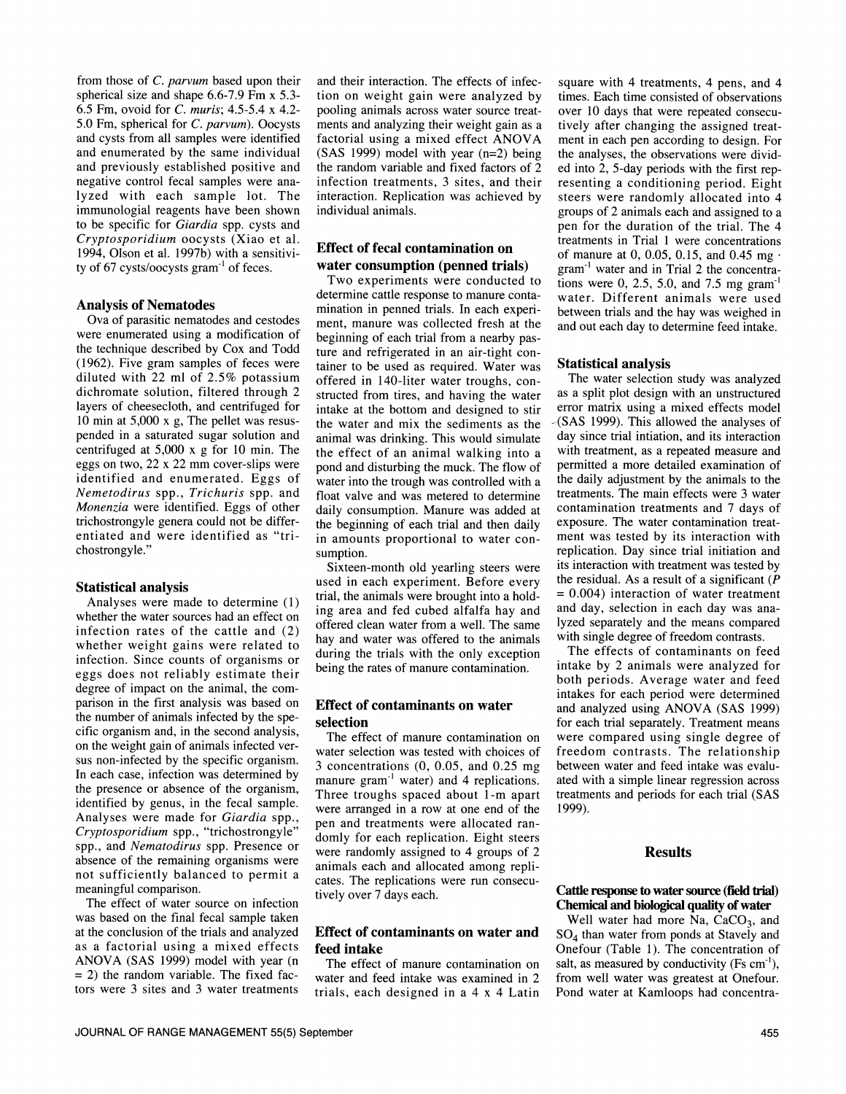from those of C. parvum based upon their spherical size and shape 6.6-7.9 Fm x 5.3- 6.5 Fm, ovoid for C. muris; 4.5-5.4 x 4.2 and cysts from all samples were identified and enumerated by the same individual and previously established positive and lyzed with each sample lot. The immunologial reagents have been shown to be specific for Giardia spp. cysts and Cryptosporidium oocysts (Xiao et al. 1994, Olson et al. 1997b) with a sensitivity of 67 cysts/oocysts  $gram^{-1}$  of feces.

#### Analysis of Nematodes

Ova of parasitic nematodes and cestodes were enumerated using a modification of the technique described by Cox and Todd (1962). Five gram samples of feces were diluted with 22 ml of 2.5% potassium dichromate solution, filtered through 2 layers of cheesecloth, and centrifuged for 10 min at 5,000 x g, The pellet was resus pended in a saturated sugar solution and centrifuged at  $5,000 \times g$  for 10 min. The eggs on two, 22  $\times$  22 mm cover-slips were identified and enumerated. Eggs of Nemetodirus spp., Trichuris spp. and Monenzia were identified. Eggs of other trichostrongyle genera could not be differentiated and were identified as "trichostrongyle."

#### Statistical analysis

Analyses were made to determine (1) whether weight gains were related to infection. Since counts of organisms or eggs does not reliably estimate their<br>degree of impact on the animal, the comparison in the first analysis was based on the number of animals infected by the specific organism and, in the second analysis, on the weight gain of animals infected versus non-infected by the specific organism. In each case, infection was determined by the presence or absence of the organism, identified by genus, in the fecal sample. Analyses were made for Giardia spp., Cryptosporidium spp., "trichostrongyle" spp., and Nematodirus spp. Presence or absence of the remaining organisms were not sufficiently balanced to permit a meaningful comparison.

The effect of water source on infection was based on the final fecal sample taken at the conclusion of the trials and analyzed as a factorial using a mixed effects  $= 2$ ) the random variable. The fixed factors were 3 sites and 3 water treatments

5.0 Fm, spherical for C. parvum). Oocysts ments and analyzing their weight gain as a and their interaction. The effects of infection on weight gain were analyzed by times. Each time consisted of observations pooling animals across water source treatments and analyzing their weight gain as a fively after changing the assigned treat-<br>factorial using a mixed effect ANOVA ment in each pen according to design. For (SAS 1999) model with year (n=2) being the random variable and fixed factors of 2 infection treatments, 3 sites, and their interaction. Replication was achieved by individual animals.

# Effect of fecal contamination on water consumption (penned trials)

Two experiments were conducted to determine cattle response to manure contamination in penned trials. In each experiment, manure was collected fresh at the beginning of each trial from a nearby pasture and refrigerated in an air-tight container to be used as required. Water was offered in 140-liter water troughs, constructed from tires, and having the water as a split plot design with an unstructured intake at the bottom and designed to stir the water and mix the sediments as the animal was drinking. This would simulate the effect of an animal walking into a pond and disturbing the muck. The flow of water into the trough was controlled with a float valve and was metered to determine daily consumption. Manure was added at the beginning of each trial and then daily in amounts proportional to water consumption.

whether the water sources had an effect on infection rates of the cattle and  $(2)$  offered clean water from a well. The same Sixteen-month old yearling steers were used in each experiment. Before every trial, the animals were brought into a holding area and fed cubed alfalfa hay and and day, selection in each day was anahay and water was offered to the animals during the trials with the only exception being the rates of manure contamination.

#### Effect of contaminants on water selection

The effect of manure contamination on water selection was tested with choices of 3 concentrations  $(0, 0.05, \text{ and } 0.25 \text{ mg})$  between water and feed intake was evalumanure gram<sup>-1</sup> water) and 4 replications. ated with a simple linear regression across manure gram $<sup>-1</sup>$  water) and 4 replications.</sup> Three troughs spaced about 1-m apart were arranged in a row at one end of the pen and treatments were allocated randomly for each replication. Eight steers were randomly assigned to 4 groups of 2 animals each and allocated among replicates. The replications were run consecu- tively over 7 days each.

# Effect of contaminants on water and feed intake

The effect of manure contamination on water and feed intake was examined in 2 trials, each designed in a 4 x 4 Latin

square with 4 treatments, 4 pens, and 4 over 10 days that were repeated consecument in each pen according to design. For the analyses, the observations were divided into 2, 5-day periods with the first representing a conditioning period. Eight steers were randomly allocated into 4 groups of 2 animals each and assigned to a pen for the duration of the trial. The 4 treatments in Trial 1 were concentrations of manure at 0, 0.05, 0.15, and 0.45 mg $\cdot$ gram<sup>-1</sup> water and in Trial 2 the concentrations were 0, 2.5, 5.0, and 7.5 mg gram<sup>-1</sup> water. Different animals were used between trials and the hay was weighed in and out each day to determine feed intake.

#### Statistical analysis

The water selection study was analyzed error matrix using a mixed effects model -(SAS 1999). This allowed the analyses of day since trial intiation, and its interaction with treatment, as a repeated measure and permitted a more detailed examination of the daily adjustment by the animals to the treatments. The main effects were 3 water contamination treatments and 7 days of exposure. The water contamination treatment was tested by its interaction with replication. Day since trial initiation and its interaction with treatment was tested by the residual. As a result of a significant  $(P)$  $= 0.004$ ) interaction of water treatment lyzed separately and the means compared with single degree of freedom contrasts.

The effects of contaminants on feed intake by 2 animals were analyzed for both periods. Average water and feed intakes for each period were determined and analyzed using ANOVA (SAS 1999) for each trial separately. Treatment means were compared using single degree of freedom contrasts. The relationship between water and feed intake was evalutreatments and periods for each trial (SAS 1999).

# **Results**

#### Cattle response to water source (field trial) Chemical and biological quality of water

Well water had more Na,  $CaCO<sub>3</sub>$ , and 504 than water from ponds at Stavely and Onefour (Table 1). The concentration of salt, as measured by conductivity  $(Fs \text{ cm}^{-1})$ , from well water was greatest at Onefour. Pond water at Kamloops had concentra-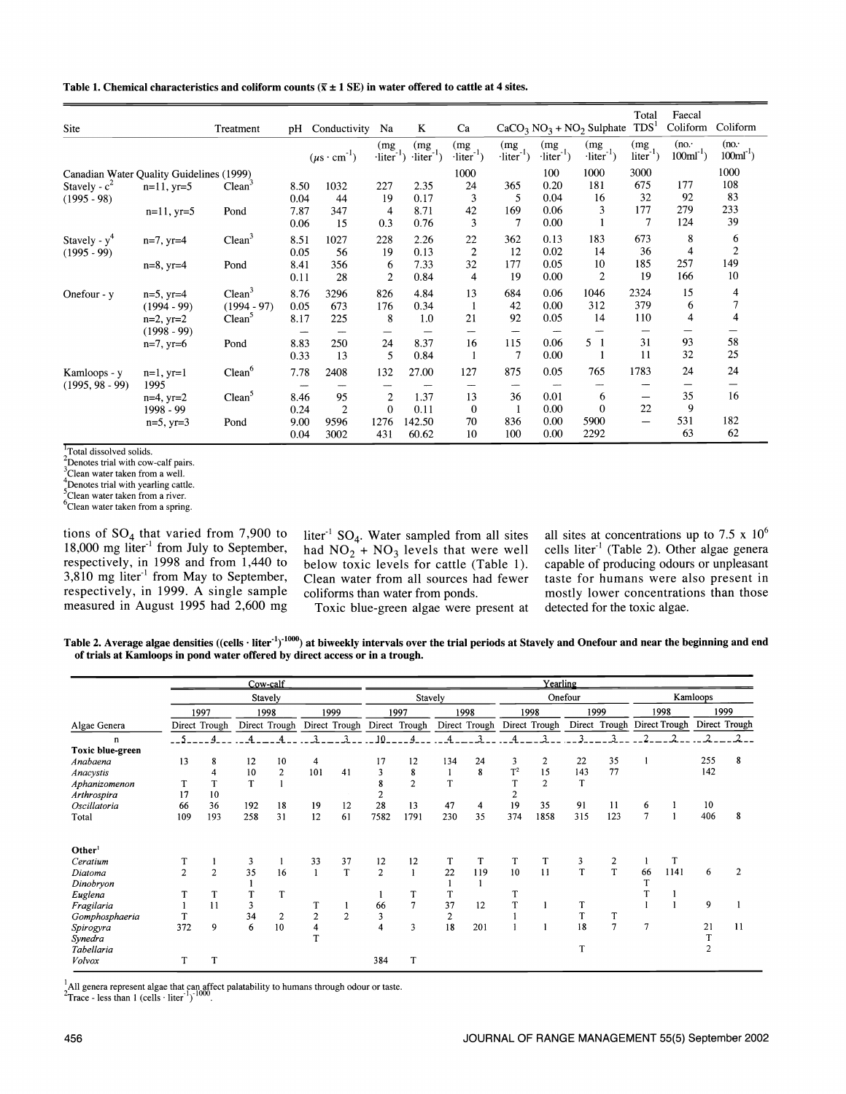Table 1. Chemical characteristics and coliform counts ( $\bar{x} \pm 1$  SE) in water offered to cattle at 4 sites.

| <b>Site</b>                              |                                 | Treatment                           | pH           | Conductivity                    | Na                                   | K                                    | Ca                                             |                                      |                                      | $CaCO3 NO3 + NO2$ Sulphate           | Total<br>TDS <sup>1</sup>        | Faecal<br>Coliform             | Coliform                       |
|------------------------------------------|---------------------------------|-------------------------------------|--------------|---------------------------------|--------------------------------------|--------------------------------------|------------------------------------------------|--------------------------------------|--------------------------------------|--------------------------------------|----------------------------------|--------------------------------|--------------------------------|
|                                          |                                 |                                     |              | $(\mu s \cdot cm^{-1})$         | (mg<br>$\cdot$ liter <sup>-1</sup> ) | (mg<br>$\cdot$ liter <sup>-1</sup> ) | (mg<br>$\cdot$ liter <sup>-1</sup> )           | (mg<br>$\cdot$ liter <sup>-1</sup> ) | (mg<br>$\cdot$ liter <sup>-1</sup> ) | (mg<br>$\cdot$ liter <sup>-1</sup> ) | (mg<br>$-1$<br>$liter^{\prime})$ | (no.<br>$100 \text{ml}^{-1}$ ) | (no.<br>$100 \text{ml}^{-1}$ ) |
| Canadian Water Quality Guidelines (1999) |                                 |                                     |              |                                 |                                      |                                      | 1000                                           |                                      | 100                                  | 1000                                 | 3000                             |                                | 1000                           |
| Stavely - $c^2$<br>$(1995 - 98)$         | $n=11$ , $yr=5$                 | Clean <sup>2</sup>                  | 8.50<br>0.04 | 1032<br>44                      | 227<br>19                            | 2.35<br>0.17                         | 24<br>3                                        | 365<br>5                             | 0.20<br>0.04                         | 181<br>16                            | 675<br>32                        | 177<br>92                      | 108<br>83                      |
|                                          | $n=11$ , $yr=5$                 | Pond                                | 7.87<br>0.06 | 347<br>15                       | 4<br>0.3                             | 8.71<br>0.76                         | 42<br>3                                        | 169<br>7                             | 0.06<br>0.00                         | 3                                    | 177<br>7                         | 279<br>124                     | 233<br>39                      |
| Stavely - $y^4$<br>$(1995 - 99)$         | $n=7$ , $yr=4$                  | Clean <sup>3</sup>                  | 8.51<br>0.05 | 1027<br>56                      | 228<br>19                            | 2.26<br>0.13                         | 22<br>$\overline{2}$                           | 362<br>12                            | 0.13<br>0.02                         | 183<br>14                            | 673<br>36                        | 8<br>$\overline{4}$            | 6<br>$\mathbf{2}$              |
|                                          | $n=8$ , $yr=4$                  | Pond                                | 8.41<br>0.11 | 356<br>28                       | 6<br>$\overline{2}$                  | 7.33<br>0.84                         | 32<br>4                                        | 177<br>19                            | 0.05<br>0.00                         | 10<br>$\overline{2}$                 | 185<br>19                        | 257<br>166                     | 149<br>10                      |
| Onefour - y                              | $n=5$ , $yr=4$<br>$(1994 - 99)$ | Clean <sup>3</sup><br>$(1994 - 97)$ | 8.76<br>0.05 | 3296<br>673                     | 826<br>176<br>8                      | 4.84<br>0.34<br>1.0                  | 13<br>-1<br>21                                 | 684<br>42<br>92                      | 0.06<br>0.00<br>0.05                 | 1046<br>312<br>14                    | 2324<br>379<br>110               | 15<br>6<br>4                   | 4<br>$\overline{7}$<br>4       |
|                                          | $n=2$ , $yr=2$<br>$(1998 - 99)$ | Clean <sup>3</sup>                  | 8.17         | 225<br>$\overline{\phantom{0}}$ |                                      |                                      | --                                             |                                      | $\overline{\phantom{a}}$             | $\overline{\phantom{a}}$             |                                  |                                |                                |
|                                          | $n=7$ , $yr=6$                  | Pond                                | 8.83<br>0.33 | 250<br>13                       | 24<br>5                              | 8.37<br>0.84                         | 16<br>$\mathbf{1}$                             | 115<br>7                             | 0.06<br>0.00                         | 5 <sub>1</sub>                       | 31<br>11                         | 93<br>32                       | 58<br>25                       |
| Kamloops - y                             | $n=1, yr=1$<br>1995             | Clean <sup>6</sup>                  | 7.78         | 2408                            | 132                                  | 27.00                                | 127                                            | 875                                  | 0.05<br>$\cdots$                     | 765                                  | 1783                             | 24                             | 24<br>—                        |
| $(1995, 98 - 99)$                        | $n=4$ , $yr=2$<br>1998 - 99     | Clean <sup>5</sup>                  | 8.46<br>0.24 | 95<br>$\overline{2}$            | $\overline{c}$<br>$\Omega$           | 1.37<br>0.11                         | $\overline{\phantom{0}}$<br>13<br>$\mathbf{0}$ | 36<br>1                              | 0.01<br>0.00                         | 6<br>$\overline{0}$                  | -<br>22                          | 35<br>9                        | 16                             |
|                                          | $n=5$ , $yr=3$                  | Pond                                | 9.00<br>0.04 | 9596<br>3002                    | 1276<br>431                          | 142.50<br>60.62                      | 70<br>10                                       | 836<br>100                           | 0.00<br>0.00                         | 5900<br>2292                         |                                  | 531<br>63                      | 182<br>62                      |

Total dissolved solids.

 $2$ Denotes trial with cow-calf pairs.

 $^3$ Clean water taken from a well.

The Denotes trial with yearling cattle.<br>Clean water taken from a river.

<sup>6</sup>Clean water taken from a spring.

tions of  $SO_4$  that varied from 7,900 to 18,000 mg liter<sup>-1</sup> from July to September, ha respectively, in 1998 and from 1,440 to be  $3,810$  mg liter<sup>-1</sup> from May to September, respectively, in 1999. A single sample measured in August 1995 had 2,600 mg

liter<sup>-1</sup> SO<sub>4</sub>. Water sampled from all sites had  $NO_2 + NO_3$  levels that were well below toxic levels for cattle (Table 1). Clean water from all sources had fewer coliforms than water from ponds.

Toxic blue-green algae were present at

all sites at concentrations up to 7.5 x  $10^6$ cells liter<sup>-1</sup> (Table 2). Other algae genera capable of producing odours or unpleasant taste for humans were also present in mostly lower concentrations than those detected for the toxic algae.

Table 2. Average algae densities ((cells  $\cdot$  liter $t_1$ )<sup>1000</sup>) at biweekly intervals over the trial periods at Stavely and Onefour and near the beginning and end of trials at Kamloops in pond water offered by direct access or in a trough.

|                    |                |                |     | Cow-calf       |                |         |                  |                             |                |               |       | Yearling       |     |                                           |    |      |                |                |
|--------------------|----------------|----------------|-----|----------------|----------------|---------|------------------|-----------------------------|----------------|---------------|-------|----------------|-----|-------------------------------------------|----|------|----------------|----------------|
|                    |                | Stavely        |     |                |                | Stavely |                  |                             | Onefour        |               |       | Kamloops       |     |                                           |    |      |                |                |
|                    |                | 1997           |     | 1998           |                | 1999    |                  | 1997                        |                | 1998          |       | 1998           |     | 1999                                      |    | 1998 |                | 1999           |
| Algae Genera       |                | Direct Trough  |     | Direct Trough  |                |         |                  | Direct Trough Direct Trough |                | Direct Trough |       | Direct Trough  |     | Direct Trough Direct Trough Direct Trough |    |      |                |                |
| n                  |                |                | Δ   |                | ٩              | 3       | 10 <sup>10</sup> |                             |                |               |       | ٦              |     | 3                                         | ∍  | 2    | $\mathcal{L}$  |                |
| Toxic blue-green   |                |                |     |                |                |         |                  |                             |                |               |       |                |     |                                           |    |      |                |                |
| Anabaena           | 13             | 8              | 12  | 10             | 4              |         | 17               | 12                          | 134            | 24            | 3     | $\overline{2}$ | 22  | 35                                        |    |      | 255            | 8              |
| Anacystis          |                |                | 10  | $\overline{c}$ | 101            | 41      | 3                | 8                           |                | 8             | $T^2$ | 15             | 143 | 77                                        |    |      | 142            |                |
| Aphanizomenon      |                |                | T   |                |                |         | 8                | $\overline{2}$              | T              |               |       | $\overline{2}$ | T   |                                           |    |      |                |                |
| Arthrospira        | 17             | 10             |     |                |                |         | 2                |                             |                |               |       |                |     |                                           |    |      |                |                |
| Oscillatoria       | 66             | 36             | 192 | 18             | 19             | 12      | 28               | 13                          | 47             | 4             | 19    | 35             | 91  | 11                                        | 6  |      | 10             |                |
| Total              | 109            | 193            | 258 | 31             | 12             | 61      | 7582             | 1791                        | 230            | 35            | 374   | 1858           | 315 | 123                                       | 7  |      | 406            | 8              |
|                    |                |                |     |                |                |         |                  |                             |                |               |       |                |     |                                           |    |      |                |                |
| Other <sup>1</sup> |                |                |     |                |                |         |                  |                             |                |               |       |                |     |                                           |    |      |                |                |
| Ceratium           |                |                | 3   |                | 33             | 37      | 12               | 12                          | T              | T             |       | T              | 3   | 2                                         |    | T    |                |                |
| Diatoma            | $\overline{2}$ | $\overline{2}$ | 35  | 16             |                | T       | 2                |                             | 22             | 119           | 10    | 11             | T   | T                                         | 66 | 1141 | 6              | $\overline{2}$ |
| Dinobryon          |                |                |     |                |                |         |                  |                             |                |               |       |                |     |                                           |    |      |                |                |
| Euglena            |                |                | T   | T              |                |         |                  |                             | T              |               |       |                |     |                                           |    |      |                |                |
| Fragilaria         |                | 11             | 3   |                |                |         | 66               |                             | 37             | 12            | T     |                |     |                                           |    |      | 9              |                |
| Gomphosphaeria     | T              |                | 34  | $\overline{2}$ | $\overline{2}$ | 2       | 3                |                             | $\overline{2}$ |               |       |                | T   |                                           |    |      |                |                |
| Spirogyra          | 372            | 9              | 6   | 10             | 4              |         | 4                | 3                           | 18             | 201           |       |                | 18  | $\overline{7}$                            | 7  |      | 21             | $\mathbf{11}$  |
| Synedra            |                |                |     |                | œ              |         |                  |                             |                |               |       |                |     |                                           |    |      | T              |                |
| Tabellaria         |                |                |     |                |                |         |                  |                             |                |               |       |                | T   |                                           |    |      | $\overline{2}$ |                |
| Volvox             | т              | T              |     |                |                |         | 384              | T                           |                |               |       |                |     |                                           |    |      |                |                |

<sup>1</sup>All genera represent algae that can affect palatability to humans through odour or taste. <sup>2</sup>Trace - less than 1 (cells · liter <sup>1</sup>)<sup>-1000</sup>.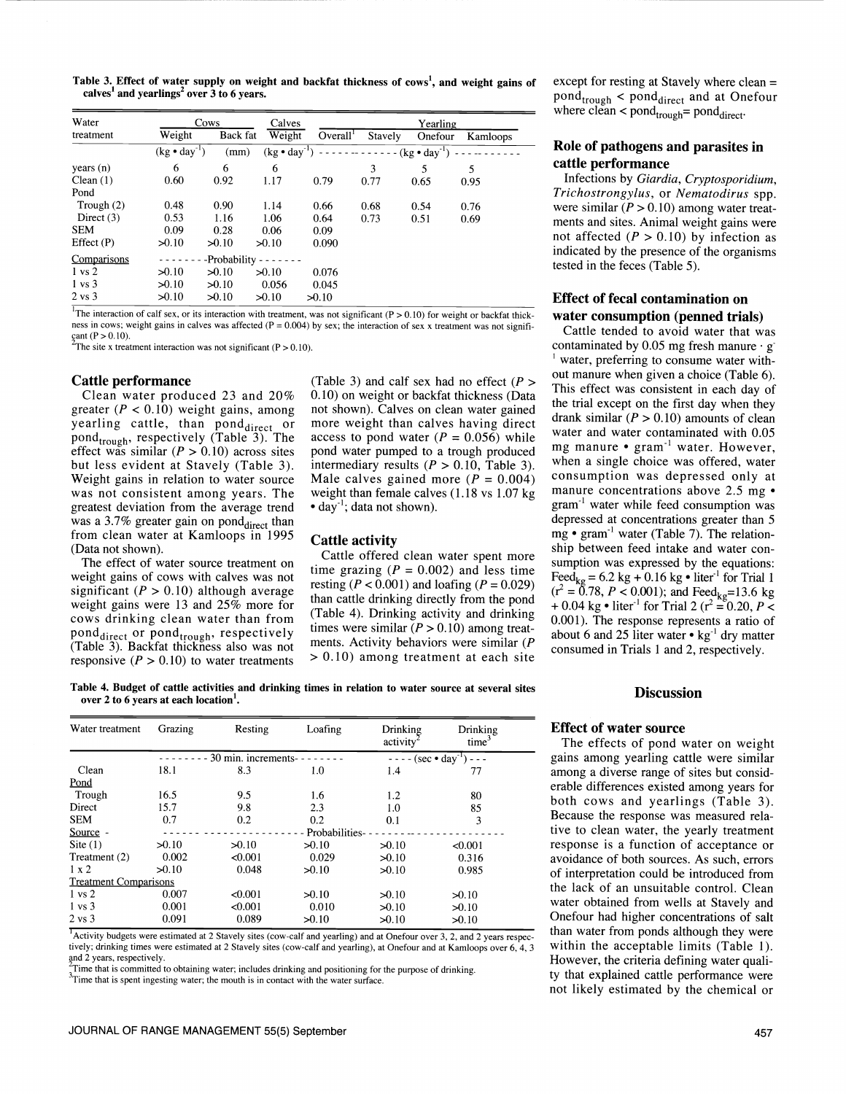Table 3. Effect of water supply on weight and backfat thickness of cows<sup>1</sup>, and weight gains of except for resting at Stavely where clean = calves<sup>1</sup> and yearlings<sup>2</sup> over  $3$  to 6 years.

| Water             | Cows                  |                | Calves                |                      | Yearling                     |         |          |  |  |  |
|-------------------|-----------------------|----------------|-----------------------|----------------------|------------------------------|---------|----------|--|--|--|
| treatment         | Weight                | Back fat       | Weight                | Overall <sup>1</sup> | Stavely                      | Onefour | Kamloops |  |  |  |
|                   | $(kg \cdot day^{-1})$ | (mm)           | $(kg \cdot day^{-1})$ |                      | $-------(kg \cdot day^{-1})$ |         |          |  |  |  |
| years(n)          | 6                     | 6              | 6                     |                      | 3                            | 5       | 5        |  |  |  |
| Clean $(1)$       | 0.60                  | 0.92           | 1.17                  | 0.79                 | 0.77                         | 0.65    | 0.95     |  |  |  |
| Pond              |                       |                |                       |                      |                              |         |          |  |  |  |
| Trough $(2)$      | 0.48                  | 0.90           | 1.14                  | 0.66                 | 0.68                         | 0.54    | 0.76     |  |  |  |
| Direct $(3)$      | 0.53                  | 1.16           | 1.06                  | 0.64                 | 0.73                         | 0.51    | 0.69     |  |  |  |
| <b>SEM</b>        | 0.09                  | 0.28           | 0.06                  | 0.09                 |                              |         |          |  |  |  |
| Effect $(P)$      | 50.10                 | 50.10          | 50.10                 | 0.090                |                              |         |          |  |  |  |
| Comparisons       |                       | -Probability - |                       |                      |                              |         |          |  |  |  |
| $1 \text{ vs } 2$ | 50.10                 | >0.10          | 50.10                 | 0.076                |                              |         |          |  |  |  |
| $1 \text{ vs } 3$ | 50.10                 | 50.10          | 0.056                 | 0.045                |                              |         |          |  |  |  |
| $2 \text{ vs } 3$ | 50.10                 | 50.10          | 50.10                 | 50.10                |                              |         |          |  |  |  |

The interaction of calf sex, or its interaction with treatment, was not significant ( $P > 0.10$ ) for weight or backfat thickness in cows; weight gains in calves was affected ( $P = 0.004$ ) by sex; the interaction of sex x tr

The site x treatment interaction was not significant ( $P > 0.10$ ).

#### Cattle performance

Clean water produced 23 and 20% greater ( $P < 0.10$ ) weight gains, among yearling cattle, than ponddirect or pond<sub>trough</sub>, respectively (Table 3). The acc effect was similar  $(P > 0.10)$  across sites po but less evident at Stavely (Table 3). Weight gains in relation to water source was not consistent among years. The greatest deviation from the average trend was a 3.7% greater gain on pond $_{\text{direct}}$  than from clean water at Kamloops in 1995 (Data not shown).<br>The effect of water source treatment on

weight gains of cows with calves was not significant ( $P > 0.10$ ) although average weight gains were 13 and 25% more for cows drinking clean water than from pond<sub>direct</sub> or pond<sub>trough</sub>, respectively time (Table 3). Backfat thickness also was not  $\mathbb{R}^{\text{me}}$ responsive ( $P > 0.10$ ) to water treatments

(Table 3) and calf sex had no effect ( $P>$ 0.10) on weight or backfat thickness (Data not shown). Calves on clean water gained more weight than calves having direct access to pond water  $(P = 0.056)$  while pond water pumped to a trough produced intermediary results  $(P > 0.10,$  Table 3). Male calves gained more  $(P = 0.004)$ weight than female calves (1.18 vs 1.07 kg • day<sup>-1</sup>; data not shown).

#### Cattle activity

time grazing ( $P = 0.002$ ) and less time resting ( $P < 0.001$ ) and loafing ( $P = 0.029$ ) than cattle drinking directly from the pond<br>  $(1 - 0.76, P \le 0.001)$ , and reed<sub>kg</sub>=15.0 kg<br>  $+ 0.04 \text{ kg} \cdot \text{liter}^{-1}$  for Trial 2 ( $r^2 = 0.20, P \le$ (Table 4). Drinking activity and drinking  $\begin{bmatrix} +0.04 & 0.01 \\ 0.001 \end{bmatrix}$ . The response represents a ratio of times were similar  $(P > 0.10)$  among treatments. Activity behaviors were similar (P > 0.10) among treatment at each site

 $pond<sub>trough</sub>$  <  $pond<sub>direct</sub>$  and at Onefour where  $clean < pond_{trough} = pond_{direct}$ .

# Role of pathogens and parasites in cattle performance

Infections by Giardia, Cryptosporidium, Trichostrongylus, or Nematodirus spp.<br>were similar ( $P > 0.10$ ) among water treatments and sites. Animal weight gains were not affected ( $P > 0.10$ ) by infection as indicated by the presence of the organisms tested in the feces (Table 5).

# Effect of fecal contamination on water consumption (penned trials)

attle activity<br>Cattle offered clean water spent more summation was expressed by the dent Cattle tended to avoid water that was contaminated by 0.05 mg fresh manure  $g$ <sup>1</sup> water, preferring to consume water without manure when given a choice (Table 6). This effect was consistent in each day of the trial except on the first day when they drank similar ( $P > 0.10$ ) amounts of clean water and water contaminated with 0.05 mg manure  $\bullet$  gram<sup>-1</sup> water. However, when a single choice was offered, water consumption was depressed only at manure concentrations above 2.5 mg  $\bullet$ gram' water while feed consumption was depressed at concentrations greater than 5 mg •  $gram^{-1}$  water (Table 7). The relationsumption was expressed by the equations: Feed<sub>kg</sub> = 6.2 kg + 0.16 kg  $\bullet$  liter<sup>-1</sup> for Trial 1  $(r^2 = 0.78, P < 0.001)$ ; and Feed<sub>kg</sub>=13.6 kg<br>+ 0.04 kg • liter<sup>-1</sup> for Trial 2 ( $r^2 = 0.20, P < 0.001$ ). The response represents a ratio of about 6 and 25 liter water  $\cdot$  kg<sup>-1</sup> dry matter consumed in Trials 1 and 2, respectively.

Table 4. Budget of cattle activities and drinking times in relation to water source at several sites over 2 to 6 years at each location<sup>1</sup>.

| Water treatment              | Grazing | Resting                              | Loafing          | Drinking<br>$\arctivity^2$ | Drinking<br>time <sup>3</sup> |  |
|------------------------------|---------|--------------------------------------|------------------|----------------------------|-------------------------------|--|
|                              |         | $-30$ min. increments- - - - - - - - |                  |                            | $---(sec \cdot day^{-1})---$  |  |
| Clean                        | 18.1    | 8.3                                  | 1.0              | 1.4                        | 77                            |  |
| Pond                         |         |                                      |                  |                            |                               |  |
| Trough                       | 16.5    | 9.5                                  | 1.6              | 1.2                        | 80                            |  |
| Direct                       | 15.7    | 9.8                                  | 2.3              | 1.0                        | 85                            |  |
| <b>SEM</b>                   | 0.7     | 0.2                                  | 0.2              | 0.1                        | 3                             |  |
| Source -                     |         |                                      | - Probabilities- |                            |                               |  |
| Site $(1)$                   | 50.10   | 50.10                                | 50.10            | >0.10                      | < 0.001                       |  |
| Treatment (2)                | 0.002   | < 0.001                              | 0.029            | >0.10                      | 0.316                         |  |
| $1 \times 2$                 | 50.10   | 0.048                                | 50.10            | >0.10                      | 0.985                         |  |
| <b>Treatment Comparisons</b> |         |                                      |                  |                            |                               |  |
| $1 \text{ vs } 2$            | 0.007   | < 0.001                              | 50.10            | 50.10                      | >0.10                         |  |
| $1 \text{ vs } 3$            | 0.001   | < 0.001                              | 0.010            | 50.10                      | 50.10                         |  |
| $2 \text{ vs } 3$            | 0.091   | 0.089                                | 50.10            | 50.10                      | >0.10                         |  |

Activity budgets were estimated at 2 Stavely sites (cow-calf and yearling) and at Onefour over 3, 2, and 2 years respectively; drinking times were estimated at 2 Stavely sites (cow-calf and yearling), at Onefour and at Kamloops over 6, 4, 3 and 2 years, respectively.

Time that is committed to obtaining water; includes drinking and positioning for the purpose of drinking.

 $3$ Time that is spent ingesting water; the mouth is in contact with the water surface.

#### **Discussion**

#### Effect of water source

-------------- tive to clean water, the yearly treatment The effects of pond water on weight gains among yearling cattle were similar among a diverse range of sites but considerable differences existed among years for both cows and yearlings (Table 3). Because the response was measured relaresponse is a function of acceptance or avoidance of both sources. As such, errors of interpretation could be introduced from the lack of an unsuitable control. Clean water obtained from wells at Stavely and Onefour had higher concentrations of salt than water from ponds although they were within the acceptable limits (Table 1). However, the criteria defining water quality that explained cattle performance were not likely estimated by the chemical or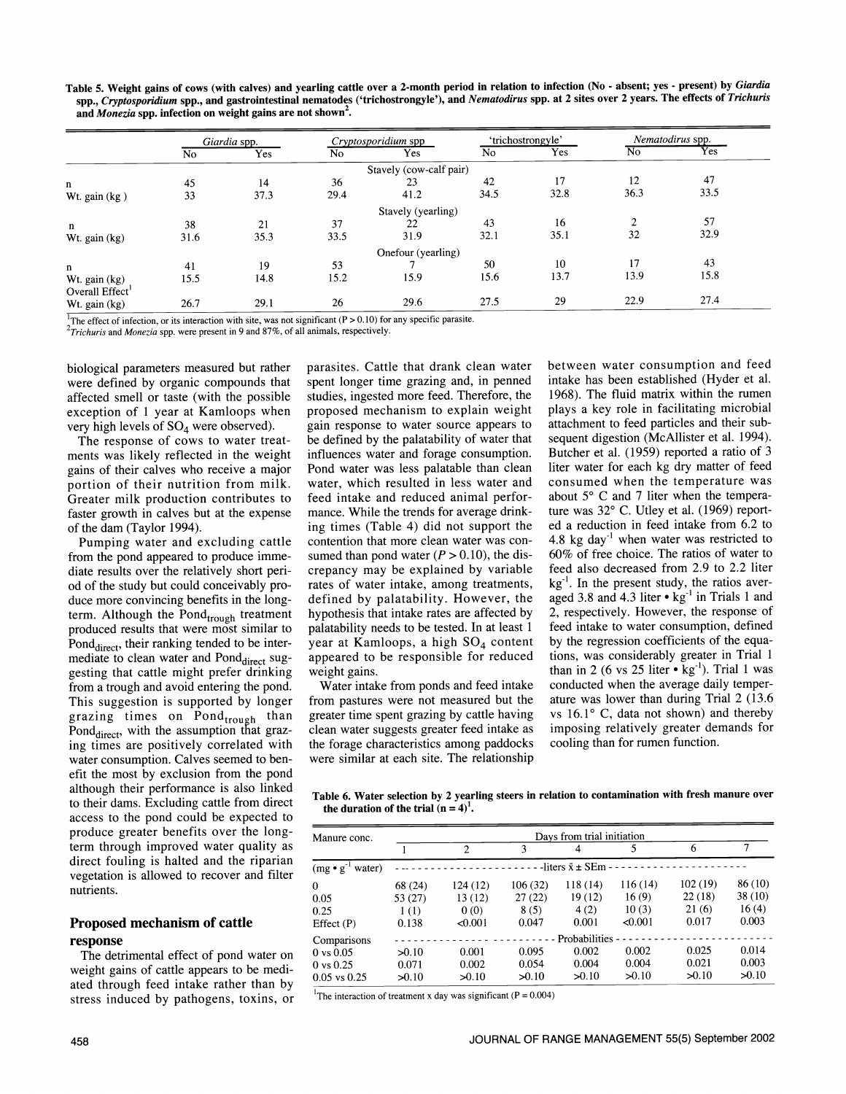Table 5. Weight gains of cows (with calves) and yearling cattle over a 2-month period in relation to infection (No - absent; yes - present) by Giardia spp., Cryptosporidium spp., and gastrointestinal nematodes ('trichostrongyle'), and Nematodirus spp. at 2 sites over 2 years. The effects of Trichuris and Monezia spp. infection on weight gains are not shown<sup>2</sup>.

|                             |      | Giardia spp. |      | Cryptosporidium spp     |                | 'trichostrongyle' |                | Nematodirus spp.          |
|-----------------------------|------|--------------|------|-------------------------|----------------|-------------------|----------------|---------------------------|
|                             | No   | Yes          | No   | Yes                     | N <sub>o</sub> | Yes               | N <sub>o</sub> | $\overline{\mathrm{Yes}}$ |
|                             |      |              |      | Stavely (cow-calf pair) |                |                   |                |                           |
| $\mathbf{n}$                | 45   | 14           | 36   | 23                      | 42             | 17                | 12             | 47                        |
| Wt. gain (kg)               | 33   | 37.3         | 29.4 | 41.2                    | 34.5           | 32.8              | 36.3           | 33.5                      |
|                             |      |              |      | Stavely (yearling)      |                |                   |                |                           |
| n                           | 38   | 21           | 37   | 22                      | 43             | 16                | ↑              | 57                        |
| Wt. gain (kg)               | 31.6 | 35.3         | 33.5 | 31.9                    | 32.1           | 35.1              | 32             | 32.9                      |
|                             |      |              |      | Onefour (yearling)      |                |                   |                |                           |
| $\mathbf n$                 | 41   | 19           | 53   |                         | 50             | 10                | 17             | 43                        |
| Wt. gain (kg)               | 15.5 | 14.8         | 15.2 | 15.9                    | 15.6           | 13.7              | 13.9           | 15.8                      |
| Overall Effect <sup>1</sup> |      |              |      |                         |                |                   |                |                           |
| Wt. gain (kg)               | 26.7 | 29.1         | 26   | 29.6                    | 27.5           | 29                | 22.9           | 27.4                      |

parasites. Cattle that drank clean water spent longer time grazing and, in penned studies, ingested more feed. Therefore, the proposed mechanism to explain weight

<sup>1</sup>The effect of infection, or its interaction with site, was not significant (P > 0.10) for any specific parasite.

 $^{2}$ Trichuris and Monezia spp. were present in 9 and 87%, of all animals, respectively.

biological parameters measured but rather were defined by organic compounds that affected smell or taste (with the possible exception of 1 year at Kamloops when very high levels of  $SO_4$  were observed).

The response of cows to water treatments was likely reflected in the weight gains of their calves who receive a major portion of their nutrition from milk. Greater milk production contributes to faster growth in calves but at the expense of the dam (Taylor 1994).

from the pond appeared to produce immediate results over the relatively short period of the study but could conceivably produce more convincing benefits in the longterm. Although the Pond<sub>trough</sub> treatment produced results that were most similar to Pond<sub>direct</sub>, their ranking tended to be intermediate to clean water and Pond<sub>direct</sub> suggesting that cattle might prefer drinking from a trough and avoid entering the pond. This suggestion is supported by longer grazing times on Pond<sub>trough</sub> than Pond $_{\text{direct}}$ , with the assumption that grazing times are positively correlated with the forage characteristics among paddocks water consumption. Calves seemed to benefit the most by exclusion from the pond although their performance is also linked to their dams. Excluding cattle from direct access to the pond could be expected to  $\frac{1}{2}$  the duration of the trial  $(n = 4)^1$ . produce greater benefits over the longterm through improved water quality as direct fouling is halted and the riparian vegetation is allowed to recover and filter nutrients.

# Proposed mechanism of cattle

**response**<br>The detrimental effect of pond water on weight gains of cattle appears to be mediated through feed intake rather than by stress induced by pathogens, toxins, or

Pumping water and excluding cattle contention that more clean water was congain response to water source appears to be defined by the palatability of water that influences water and forage consumption. Pond water was less palatable than clean water, which resulted in less water and feed intake and reduced animal perfor mance. While the trends for average drinking times (Table 4) did not support the sumed than pond water ( $P > 0.10$ ), the disrates of water intake, among treatments, defined by palatability. However, the hypothesis that intake rates are affected by palatability needs to be tested. In at least 1 year at Kamloops, a high  $SO_4$  content appeared to be responsible for reduced weight gains. from pastures were not measured but the greater time spent grazing by cattle having clean water suggests greater feed intake as

were similar at each site. The relationship

crepancy may be explained by variable feed also decreased from 2.9 to 2.2 liter rates of water intake, among treatments,  $kg^{-1}$ . In the present study, the ratios aver-Water intake from ponds and feed intake conducted when the average daily temper-<br>om pastures were not measured but the ature was lower than during Trial 2 (13.6) between water consumption and feed intake has been established (Hyder et al. 1968). The fluid matrix within the rumen plays a key role in facilitating microbial attachment to feed particles and their subsequent digestion (McAllister et al. 1994). Butcher et al. (1959) reported a ratio of <sup>3</sup> liter water for each kg dry matter of feed consumed when the temperature was about 5° C and 7 liter when the temperature was 32° C. Utley et al. (1969) reported a reduction in feed intake from 6.2 to 4.8 kg day<sup>-1</sup> when water was restricted to 60% of free choice. The ratios of water to feed also decreased from 2.9 to 2.2 liter aged 3.8 and 4.3 liter  $\cdot$  kg<sup>-1</sup> in Trials 1 and 2, respectively. However, the response of feed intake to water consumption, defined by the regression coefficients of the equations, was considerably greater in Trial 1 than in 2 (6 vs 25 liter  $\cdot$  kg<sup>-1</sup>). Trial 1 was conducted when the average daily tempervs  $16.1$ ° C, data not shown) and thereby imposing relatively greater demands for cooling than for rumen function.

Table 6. Water selection by 2 yearling steers in relation to contamination with fresh manure over

| Manure conc.               | Days from trial initiation |                |         |                                    |         |         |        |  |  |  |  |  |  |
|----------------------------|----------------------------|----------------|---------|------------------------------------|---------|---------|--------|--|--|--|--|--|--|
|                            |                            | $\overline{2}$ | 3       | 4                                  |         | 6       |        |  |  |  |  |  |  |
| $(mg \bullet g)$<br>water) |                            |                |         | -liters $\bar{x} \pm \text{SEm}$ - |         |         |        |  |  |  |  |  |  |
| $\Omega$                   | 68 (24)                    | 124(12)        | 106(32) | 118(14)                            | 116(14) | 102(19) | 86(10) |  |  |  |  |  |  |
| 0.05                       | 53(27)                     | 13(12)         | 27(22)  | 19(12)                             | 16(9)   | 22(18)  | 38(10) |  |  |  |  |  |  |
| 0.25                       | 1(1)                       | 0(0)           | 8(5)    | 4(2)                               | 10(3)   | 21(6)   | 16(4)  |  |  |  |  |  |  |
| Effect $(P)$               | 0.138                      | < 0.001        | 0.047   | 0.001                              | < 0.001 | 0.017   | 0.003  |  |  |  |  |  |  |
| Comparisons                |                            |                |         | Probabilities                      |         |         |        |  |  |  |  |  |  |
| $0 \text{ vs } 0.05$       | 50.10                      | 0.001          | 0.095   | 0.002                              | 0.002   | 0.025   | 0.014  |  |  |  |  |  |  |
| $0 \text{ vs } 0.25$       | 0.071                      | 0.002          | 0.054   | 0.004                              | 0.004   | 0.021   | 0.003  |  |  |  |  |  |  |
| $0.05$ vs $0.25$           | 50.10                      | 50.10          | 50.10   | 50.10                              | >0.10   | 50.10   | 50.10  |  |  |  |  |  |  |

<sup>1</sup>The interaction of treatment x day was significant ( $P = 0.004$ )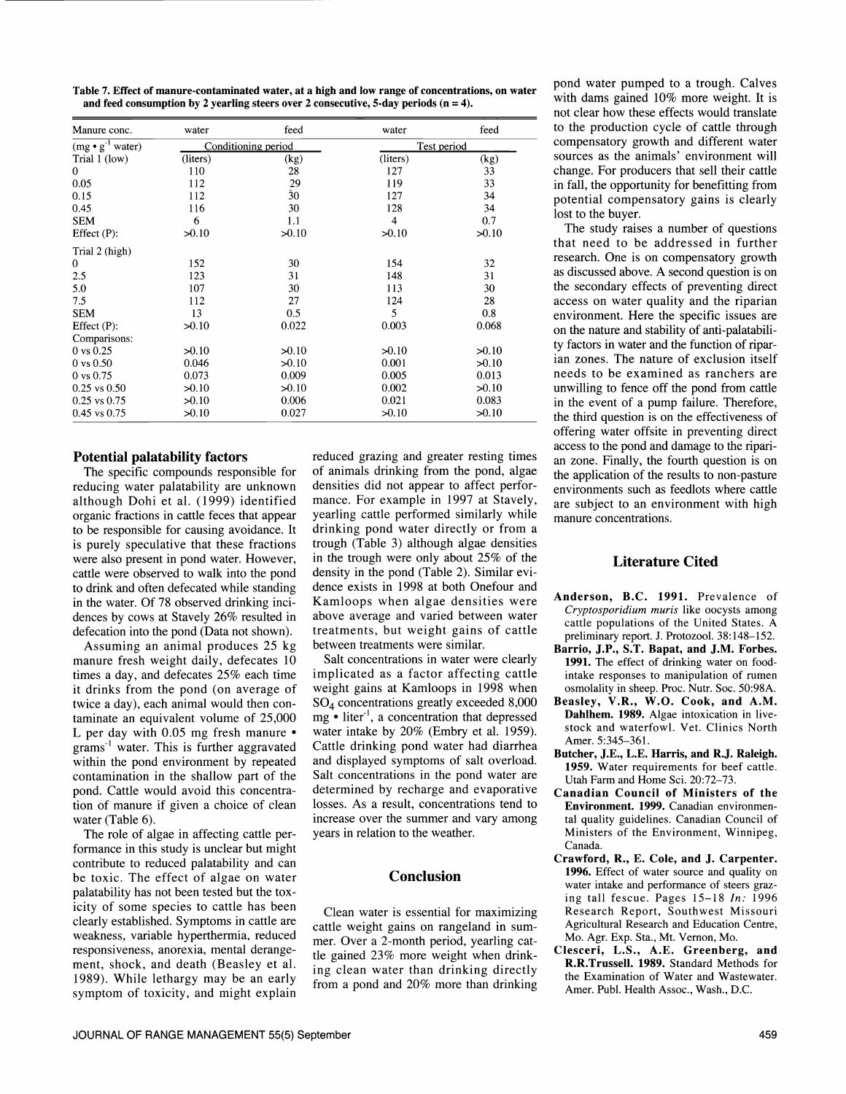to drink and often defecated while standing in the water. Of 78 observed drinking incidences by cows at Stavely 26% resulted in defecation into the pond (Data not shown).<br>Assuming an animal produces 25 kg

Table 7. Effect of manure-contaminated water, at a high and low range of concentrations, on water

and feed consumption by 2 yearling steers over 2 consecutive, 5-day periods  $(n = 4)$ .

(mg • g<sup>-1</sup> water) Conditioning period<br>Trial 1 (low) (liters) (kg) (liters) (kg) (liters)

 $>0.10$ 

 $>0.10$ 

Manure conc. water feed water

Trial 1 (low)  $\frac{\text{(liters)}}{\text{(liters)}}$  (kg)<br>0 110 28 0 110 28 0.05 112 29 0.15 112 30 0.45 116 30

>0.10

6

>0.10

 $50.10$ 

 $0$  vs 0.50  $0.046$   $> 0.10$ <br> $0$  vs 0.75  $0.073$  0.009  $0.25 \text{ vs } 0.50$   $>0.10$   $>0.10$  $0.25$  vs  $0.75$   $>0.10$  0.006 0.45 vs 0.75  $>0.10$  0.027

Potential palatability factors

reducing water palatability are unknown although Dohi et al. (1999) identified organic fractions in cattle feces that appear to be responsible for causing avoidance. It is purely speculative that these fractions were also present in pond water. However, cattle were observed to walk into the pond

0 152 30 2.5 123 31 5.0 107 30 7.5 112 27

SEM 13 0.5 5

Effect (P): Trial 2 (high)

**SEM** 

Effect (P): Comparisons:

 $0 \text{ vs } 0.25$ 

manure fresh weight daily, defecates 10 times a day, and defecates 25% each time it drinks from the pond (on average of twice a day), each animal would then con- taminate an equivalent volume of 25,000 L per day with  $0.05$  mg fresh manure  $\bullet$ grams<sup>-1</sup> water. This is further aggravated within the pond environment by repeated contamination in the shallow part of the pond. Cattle would avoid this concentration of manure if given a choice of clean

water (Table 6). The role of algae in affecting cattle performance in this study is unclear but might contribute to reduced palatability and can be toxic. The effect of algae on water palatability has not been tested but the toxicity of some species to cattle has been<br>clearly established. Symptoms in cattle are clearly established. Symptoms in cattle are earthle weight gains on rangeland in sum-<br>weakness, variable hyperthermia, reduced mer Over a 2 month period, vearling on responsiveness, anorexia, mental derangement, shock, and death (Beasley et al. 1989). While lethargy may be an early

The specific compounds responsible for of animals drinking from the pond, algae ducing water palatability are unknown densities did not appear to affect perforreduced grazing and greater resting times of animals drinking from the pond, algae the application of the results to non-pasture densities did not appear to affect perfor-<br>mance. For example in 1997 at Stavely, are subject to an environment with high yearling cattle performed similarly while manure concentrations. drinking pond water directly or from a trough (Table 3) although algae densities in the trough were only about 25% of the density in the pond (Table 2). Similar evidence exists in 1998 at both Onefour and Kamloops when algae densities were above average and varied between water treatments, but weight gains of cattle between treatments were similar.

4

 $50.10$ 

154

148

113

124

 $50.10$ 

0.001

0.005

0.002

 $0.021$ 

 $>0.10$ 

128

127

119 127 feed

33 33

34

34  $0<sub>7</sub>$ 

 $50.10$ 

32

31

30 28

 $\rm 0.8$ 0.068

 $50.10$ 

 $50.10$ 

0.013

 $50.10$ 

0.083

 $>0.10$ 

Salt concentrations in water were clearly implicated as a factor affecting cattle intake responses to manipulation of rumen weight gains at Kamloops in 1998 when 504 concentrations greatly exceeded 8,000  $mg \cdot$  liter<sup>-1</sup>, a concentration that depressed water intake by 20% (Embry et al. 1959). Cattle drinking pond water had diarrhea and displayed symptoms of salt overload. Salt concentrations in the pond water are determined by recharge and evaporative losses. As a result, concentrations tend to increase over the summer and vary among years in relation to the weather.

#### **Conclusion**

Clean water is essential for maximizing mer. Over a 2-month period, yearling cattle gained 23% more weight when drinking clean water than drinking directly from a pond and 20% more than drinking pond water pumped to a trough. Calves with dams gained 10% more weight. It is not clear how these effects would translate to the production cycle of cattle through compensatory growth and different water sources as the animals' environment will change. For producers that sell their cattle in fall, the opportunity for benefitting from potential compensatory gains is clearly lost to the buyer.

The study raises a number of questions that need to be addressed in further research. One is on compensatory growth as discussed above. A second question is on the secondary effects of preventing direct access on water quality and the riparian environment. Here the specific issues are on the nature and stability of anti-palatability factors in water and the function of riparian zones. The nature of exclusion itself needs to be examined as ranchers are unwilling to fence off the pond from cattle in the event of a pump failure. Therefore, the third question is on the effectiveness of offering water offsite in preventing direct access to the pond and damage to the ripari-<br>an zone. Finally, the fourth question is on are subject to an environment with high

# Literature Cited

- Anderson, B.C. 1991. Prevalence of Cryptosporidium muris like oocysts among cattle populations of the United States. A preliminary report. J. Protozool. 38:148-152.
- Barrio, J.P., S.T. Bapat, and J.M. Forbes. 1991. The effect of drinking water on foodosmolality in sheep. Proc. Nutr. Soc. 50:98A.
- Beasley, V.R., W.O. Cook, and A.M. Dahlhem. 1989. Algae intoxication in livestock and waterfowl. Vet. Clinics North Amer. 5:345-361.
- Butcher, J.E., L.E. Harris, and R.J. Raleigh. 1959. Water requirements for beef cattle. Utah Farm and Home Sci. 20:72-73.
- Canadian Council of Ministers of the Environment. 1999. Canadian environmental quality guidelines. Canadian Council of Ministers of the Environment, Winnipeg, Canada.
- Crawford, R., E. Cole, and J. Carpenter. 1996. Effect of water source and quality on water intake and performance of steers grazing tall fescue. Pages 15-18 In: 1996 Research Report, Southwest Missouri Agricultural Research and Education Centre, Mo. Agr. Exp. Sta., Mt. Vernon, Mo.
- Clesceri, L.S., A.E. Greenberg, and R.R.Trussell. 1989. Standard Methods for the Examination of Water and Wastewater. Amer. Publ. Health Assoc., Wash., D.C.